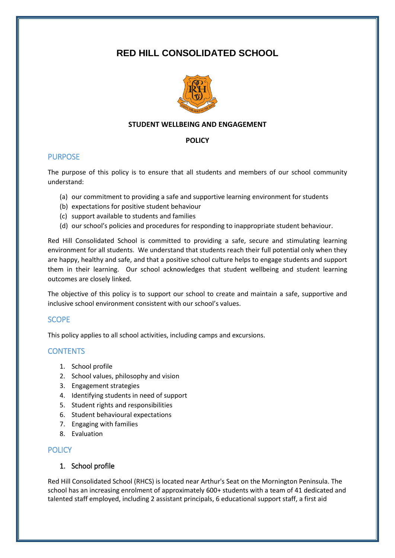# **RED HILL CONSOLIDATED SCHOOL**



# **STUDENT WELLBEING AND ENGAGEMENT**

#### **POLICY**

# PURPOSE

The purpose of this policy is to ensure that all students and members of our school community understand:

- (a) our commitment to providing a safe and supportive learning environment for students
- (b) expectations for positive student behaviour
- (c) support available to students and families
- (d) our school's policies and procedures for responding to inappropriate student behaviour.

Red Hill Consolidated School is committed to providing a safe, secure and stimulating learning environment for all students. We understand that students reach their full potential only when they are happy, healthy and safe, and that a positive school culture helps to engage students and support them in their learning. Our school acknowledges that student wellbeing and student learning outcomes are closely linked.

The objective of this policy is to support our school to create and maintain a safe, supportive and inclusive school environment consistent with our school's values.

# **SCOPE**

This policy applies to all school activities, including camps and excursions.

# **CONTENTS**

- 1. School profile
- 2. School values, philosophy and vision
- 3. Engagement strategies
- 4. Identifying students in need of support
- 5. Student rights and responsibilities
- 6. Student behavioural expectations
- 7. Engaging with families
- 8. Evaluation

# **POLICY**

# 1. School profile

Red Hill Consolidated School (RHCS) is located near Arthur's Seat on the Mornington Peninsula. The school has an increasing enrolment of approximately 600+ students with a team of 41 dedicated and talented staff employed, including 2 assistant principals, 6 educational support staff, a first aid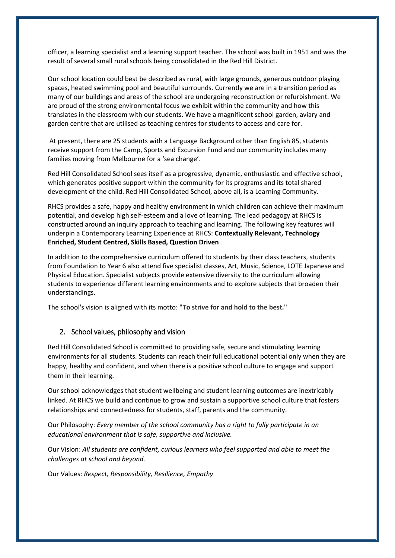officer, a learning specialist and a learning support teacher. The school was built in 1951 and was the result of several small rural schools being consolidated in the Red Hill District.

Our school location could best be described as rural, with large grounds, generous outdoor playing spaces, heated swimming pool and beautiful surrounds. Currently we are in a transition period as many of our buildings and areas of the school are undergoing reconstruction or refurbishment. We are proud of the strong environmental focus we exhibit within the community and how this translates in the classroom with our students. We have a magnificent school garden, aviary and garden centre that are utilised as teaching centres for students to access and care for.

At present, there are 25 students with a Language Background other than English 85, students receive support from the Camp, Sports and Excursion Fund and our community includes many families moving from Melbourne for a 'sea change'.

Red Hill Consolidated School sees itself as a progressive, dynamic, enthusiastic and effective school, which generates positive support within the community for its programs and its total shared development of the child. Red Hill Consolidated School, above all, is a Learning Community.

RHCS provides a safe, happy and healthy environment in which children can achieve their maximum potential, and develop high self-esteem and a love of learning. The lead pedagogy at RHCS is constructed around an inquiry approach to teaching and learning. The following key features will underpin a Contemporary Learning Experience at RHCS: **Contextually Relevant, Technology Enriched, Student Centred, Skills Based, Question Driven**

In addition to the comprehensive curriculum offered to students by their class teachers, students from Foundation to Year 6 also attend five specialist classes, Art, Music, Science, LOTE Japanese and Physical Education. Specialist subjects provide extensive diversity to the curriculum allowing students to experience different learning environments and to explore subjects that broaden their understandings.

The school's vision is aligned with its motto: **"To strive for and hold to the best."**

#### 2. School values, philosophy and vision

Red Hill Consolidated School is committed to providing safe, secure and stimulating learning environments for all students. Students can reach their full educational potential only when they are happy, healthy and confident, and when there is a positive school culture to engage and support them in their learning.

Our school acknowledges that student wellbeing and student learning outcomes are inextricably linked. At RHCS we build and continue to grow and sustain a supportive school culture that fosters relationships and connectedness for students, staff, parents and the community.

Our Philosophy: *Every member of the school community has a right to fully participate in an educational environment that is safe, supportive and inclusive.*

Our Vision: *All students are confident, curious learners who feel supported and able to meet the challenges at school and beyond.*

Our Values: *Respect, Responsibility, Resilience, Empathy*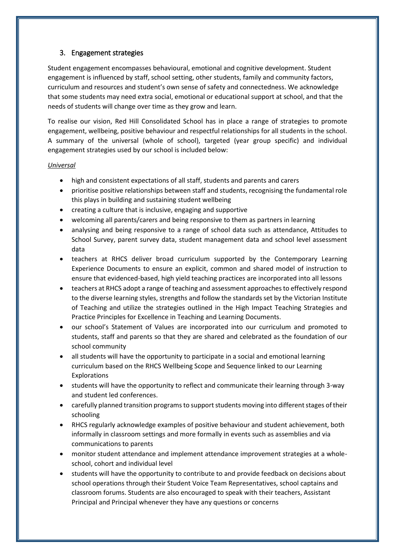# 3. Engagement strategies

Student engagement encompasses behavioural, emotional and cognitive development. Student engagement is influenced by staff, school setting, other students, family and community factors, curriculum and resources and student's own sense of safety and connectedness. We acknowledge that some students may need extra social, emotional or educational support at school, and that the needs of students will change over time as they grow and learn.

To realise our vision, Red Hill Consolidated School has in place a range of strategies to promote engagement, wellbeing, positive behaviour and respectful relationships for all students in the school. A summary of the universal (whole of school), targeted (year group specific) and individual engagement strategies used by our school is included below:

#### *Universal*

- high and consistent expectations of all staff, students and parents and carers
- prioritise positive relationships between staff and students, recognising the fundamental role this plays in building and sustaining student wellbeing
- creating a culture that is inclusive, engaging and supportive
- welcoming all parents/carers and being responsive to them as partners in learning
- analysing and being responsive to a range of school data such as attendance, Attitudes to School Survey, parent survey data, student management data and school level assessment data
- teachers at RHCS deliver broad curriculum supported by the Contemporary Learning Experience Documents to ensure an explicit, common and shared model of instruction to ensure that evidenced-based, high yield teaching practices are incorporated into all lessons
- teachers at RHCS adopt a range of teaching and assessment approaches to effectively respond to the diverse learning styles, strengths and follow the standards set by the Victorian Institute of Teaching and utilize the strategies outlined in the High Impact Teaching Strategies and Practice Principles for Excellence in Teaching and Learning Documents.
- our school's Statement of Values are incorporated into our curriculum and promoted to students, staff and parents so that they are shared and celebrated as the foundation of our school community
- all students will have the opportunity to participate in a social and emotional learning curriculum based on the RHCS Wellbeing Scope and Sequence linked to our Learning Explorations
- students will have the opportunity to reflect and communicate their learning through 3-way and student led conferences.
- carefully planned transition programs to support students moving into different stages of their schooling
- RHCS regularly acknowledge examples of positive behaviour and student achievement, both informally in classroom settings and more formally in events such as assemblies and via communications to parents
- monitor student attendance and implement attendance improvement strategies at a wholeschool, cohort and individual level
- students will have the opportunity to contribute to and provide feedback on decisions about school operations through their Student Voice Team Representatives, school captains and classroom forums. Students are also encouraged to speak with their teachers, Assistant Principal and Principal whenever they have any questions or concerns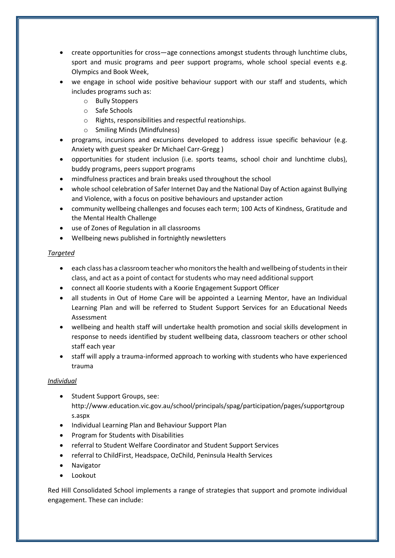- create opportunities for cross—age connections amongst students through lunchtime clubs, sport and music programs and peer support programs, whole school special events e.g. Olympics and Book Week,
- we engage in school wide positive behaviour support with our staff and students, which includes programs such as:
	- o Bully Stoppers
	- o Safe Schools
	- o Rights, responsibilities and respectful reationships.
	- o Smiling Minds (Mindfulness)
- programs, incursions and excursions developed to address issue specific behaviour (e.g. Anxiety with guest speaker Dr Michael Carr-Gregg )
- opportunities for student inclusion (i.e. sports teams, school choir and lunchtime clubs), buddy programs, peers support programs
- mindfulness practices and brain breaks used throughout the school
- whole school celebration of Safer Internet Day and the National Day of Action against Bullying and Violence, with a focus on positive behaviours and upstander action
- community wellbeing challenges and focuses each term; 100 Acts of Kindness, Gratitude and the Mental Health Challenge
- use of Zones of Regulation in all classrooms
- Wellbeing news published in fortnightly newsletters

# *Targeted*

- each class has a classroom teacher who monitors the health and wellbeing of students in their class, and act as a point of contact for students who may need additional support
- connect all Koorie students with a Koorie Engagement Support Officer
- all students in Out of Home Care will be appointed a Learning Mentor, have an Individual Learning Plan and will be referred to Student Support Services for an Educational Needs Assessment
- wellbeing and health staff will undertake health promotion and social skills development in response to needs identified by student wellbeing data, classroom teachers or other school staff each year
- staff will apply a trauma-informed approach to working with students who have experienced trauma

# *Individual*

- Student Support Groups, see: http://www.education.vic.gov.au/school/principals/spag/participation/pages/supportgroup s.aspx
- Individual Learning Plan and Behaviour Support Plan
- Program for Students with Disabilities
- referral to Student Welfare Coordinator and Student Support Services
- referral to ChildFirst, Headspace, OzChild, Peninsula Health Services
- Navigator
- Lookout

Red Hill Consolidated School implements a range of strategies that support and promote individual engagement. These can include: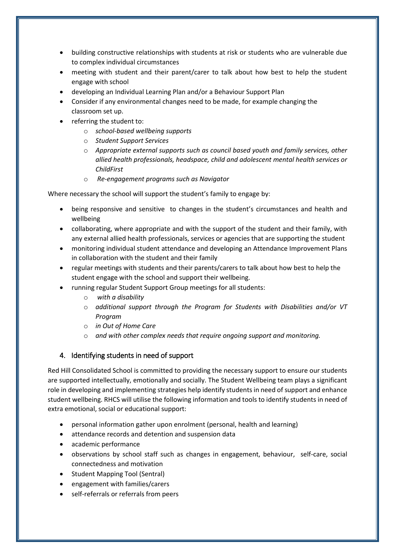- building constructive relationships with students at risk or students who are vulnerable due to complex individual circumstances
- meeting with student and their parent/carer to talk about how best to help the student engage with school
- developing an Individual Learning Plan and/or a Behaviour Support Plan
- Consider if any environmental changes need to be made, for example changing the classroom set up.
- referring the student to:
	- o *school-based wellbeing supports*
	- o *Student Support Services*
	- o *Appropriate external supports such as council based youth and family services, other allied health professionals, headspace, child and adolescent mental health services or ChildFirst*
	- o *Re-engagement programs such as Navigator*

Where necessary the school will support the student's family to engage by:

- being responsive and sensitive to changes in the student's circumstances and health and wellbeing
- collaborating, where appropriate and with the support of the student and their family, with any external allied health professionals, services or agencies that are supporting the student
- monitoring individual student attendance and developing an Attendance Improvement Plans in collaboration with the student and their family
- regular meetings with students and their parents/carers to talk about how best to help the student engage with the school and support their wellbeing.
- running regular Student Support Group meetings for all students:
	- o *with a disability*
	- o *additional support through the Program for Students with Disabilities and/or VT Program*
	- o *in Out of Home Care*
	- o *and with other complex needs that require ongoing support and monitoring.*

# 4. Identifying students in need of support

Red Hill Consolidated School is committed to providing the necessary support to ensure our students are supported intellectually, emotionally and socially. The Student Wellbeing team plays a significant role in developing and implementing strategies help identify students in need of support and enhance student wellbeing. RHCS will utilise the following information and tools to identify students in need of extra emotional, social or educational support:

- personal information gather upon enrolment (personal, health and learning)
- attendance records and detention and suspension data
- academic performance
- observations by school staff such as changes in engagement, behaviour, self-care, social connectedness and motivation
- Student Mapping Tool (Sentral)
- engagement with families/carers
- self-referrals or referrals from peers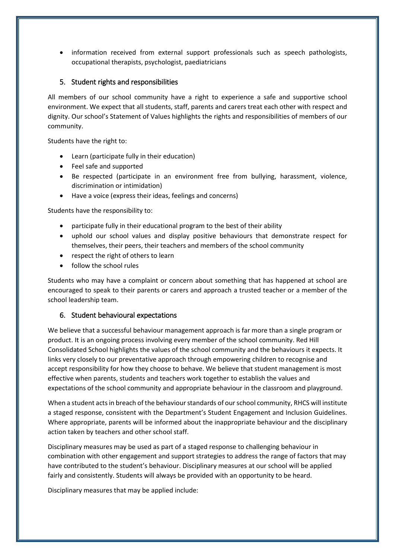information received from external support professionals such as speech pathologists, occupational therapists, psychologist, paediatricians

# 5. Student rights and responsibilities

All members of our school community have a right to experience a safe and supportive school environment. We expect that all students, staff, parents and carers treat each other with respect and dignity. Our school's Statement of Values highlights the rights and responsibilities of members of our community.

Students have the right to:

- Learn (participate fully in their education)
- Feel safe and supported
- Be respected (participate in an environment free from bullying, harassment, violence, discrimination or intimidation)
- Have a voice (express their ideas, feelings and concerns)

Students have the responsibility to:

- participate fully in their educational program to the best of their ability
- uphold our school values and display positive behaviours that demonstrate respect for themselves, their peers, their teachers and members of the school community
- respect the right of others to learn
- follow the school rules

Students who may have a complaint or concern about something that has happened at school are encouraged to speak to their parents or carers and approach a trusted teacher or a member of the school leadership team.

#### 6. Student behavioural expectations

We believe that a successful behaviour management approach is far more than a single program or product. It is an ongoing process involving every member of the school community. Red Hill Consolidated School highlights the values of the school community and the behaviours it expects. It links very closely to our preventative approach through empowering children to recognise and accept responsibility for how they choose to behave. We believe that student management is most effective when parents, students and teachers work together to establish the values and expectations of the school community and appropriate behaviour in the classroom and playground.

When a student acts in breach of the behaviour standards of our school community, RHCS will institute a staged response, consistent with the Department's Student Engagement and Inclusion Guidelines. Where appropriate, parents will be informed about the inappropriate behaviour and the disciplinary action taken by teachers and other school staff.

Disciplinary measures may be used as part of a staged response to challenging behaviour in combination with other engagement and support strategies to address the range of factors that may have contributed to the student's behaviour. Disciplinary measures at our school will be applied fairly and consistently. Students will always be provided with an opportunity to be heard.

Disciplinary measures that may be applied include: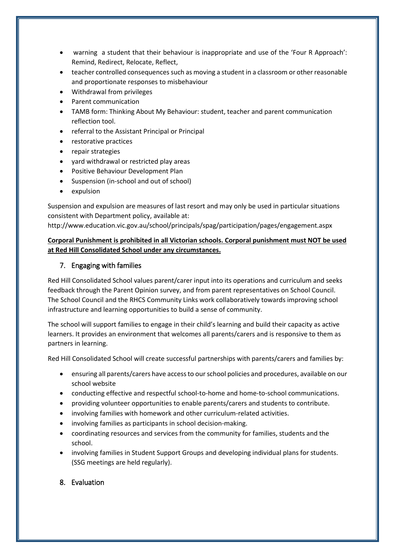- warning a student that their behaviour is inappropriate and use of the 'Four R Approach': Remind, Redirect, Relocate, Reflect,
- teacher controlled consequences such as moving a student in a classroom or other reasonable and proportionate responses to misbehaviour
- Withdrawal from privileges
- Parent communication
- TAMB form: Thinking About My Behaviour: student, teacher and parent communication reflection tool.
- referral to the Assistant Principal or Principal
- restorative practices
- repair strategies
- yard withdrawal or restricted play areas
- Positive Behaviour Development Plan
- Suspension (in-school and out of school)
- expulsion

Suspension and expulsion are measures of last resort and may only be used in particular situations consistent with Department policy, available at:

http://www.education.vic.gov.au/school/principals/spag/participation/pages/engagement.aspx

# **Corporal Punishment is prohibited in all Victorian schools. Corporal punishment must NOT be used at Red Hill Consolidated School under any circumstances.**

# 7. Engaging with families

Red Hill Consolidated School values parent/carer input into its operations and curriculum and seeks feedback through the Parent Opinion survey, and from parent representatives on School Council. The School Council and the RHCS Community Links work collaboratively towards improving school infrastructure and learning opportunities to build a sense of community.

The school will support families to engage in their child's learning and build their capacity as active learners. It provides an environment that welcomes all parents/carers and is responsive to them as partners in learning.

Red Hill Consolidated School will create successful partnerships with parents/carers and families by:

- ensuring all parents/carers have access to our school policies and procedures, available on our school website
- conducting effective and respectful school-to-home and home-to-school communications.
- providing volunteer opportunities to enable parents/carers and students to contribute.
- involving families with homework and other curriculum-related activities.
- involving families as participants in school decision-making.
- coordinating resources and services from the community for families, students and the school.
- involving families in Student Support Groups and developing individual plans for students. (SSG meetings are held regularly).

# 8. Evaluation